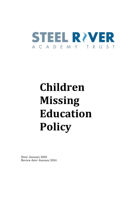

# **Children Missing Education Policy**

Date: January 2022 Review date: January 2024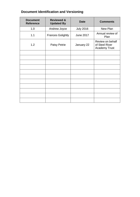# **Document Identification and Versioning**

| <b>Document</b><br><b>Reference</b> | <b>Reviewed &amp;</b><br><b>Updated By</b> | <b>Date</b>      | <b>Comments</b>                                            |
|-------------------------------------|--------------------------------------------|------------------|------------------------------------------------------------|
| 1.0                                 | Andrew Joyce                               | <b>July 2016</b> | New Plan                                                   |
| 1.1                                 | <b>Frances Golightly</b>                   | <b>June 2017</b> | Annual review of<br>Plan                                   |
| 1.2                                 | <b>Patsy Petrie</b>                        | January 22       | Review on behalf<br>of Steel River<br><b>Academy Trust</b> |
|                                     |                                            |                  |                                                            |
|                                     |                                            |                  |                                                            |
|                                     |                                            |                  |                                                            |
|                                     |                                            |                  |                                                            |
|                                     |                                            |                  |                                                            |
|                                     |                                            |                  |                                                            |
|                                     |                                            |                  |                                                            |
|                                     |                                            |                  |                                                            |
|                                     |                                            |                  |                                                            |
|                                     |                                            |                  |                                                            |
|                                     |                                            |                  |                                                            |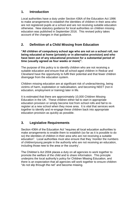#### **1. Introduction**

Local authorities have a duty under Section 436A of the Education Act 1996 to make arrangements to establish the identities of children in their area who are not registered pupils at a school and are not receiving suitable education otherwise. New statutory guidance for local authorities on children missing education was published in September 2016. This revised policy takes account of the changes in that guidance.

# **2. Definition of a Child Missing from Education**

**"All children of compulsory school age who are not on a school roll, nor being educated at home (privately or in alternative provision) and who have been out of any educational provision for a substantial period of time (usually agreed as four weeks or more)".**

The purpose of this policy is to identify children who are not receiving a suitable education and ensure that all school-aged children in Redcar and Cleveland have the opportunity to fulfil their potential and that fewer children disengage from the education system.

Children missing education are at significant risk of underachieving, being victims of harm, exploitation or radicalisation, and becoming NEET (not in education, employment or training) later in life.

It is estimated that there are approximately 10,000 Children Missing Education in the UK. These children either fail to start in appropriate education provision or simply become lost from school rolls and fail to reregister at a new school when they move area. It is vital that services work together to identify and re-engage these children back into appropriate education provision as quickly as possible.

#### **3. Legislative Requirements**

Section 436A of the Education Act "requires all local education authorities to make arrangements to enable them to establish (so far as it is possible to do so) the identities of children in their area who are not receiving a suitable education". Local authorities must also ensure that they 'monitor the numbers of children/young people in the authority who are not receiving an education, including those new to the area or the country'.

The Children's Act 2004 places a duty on all agencies to work together to promote the welfare of the child and to share information. This principle underpins the local authority's policy for Children Missing Education, and there is an expectation that all agencies will work together to ensure children "do not slip through the net" and become missing.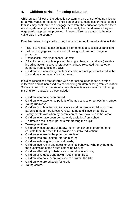# **4. Children at risk of missing education**

Children can fall out of the education system and be at risk of going missing for a wide variety of reasons. Their personal circumstances or those of their families may contribute to disengagement from the education system if there are no systematic processes in place to identify them and ensure they reengage with appropriate provision. These children are amongst the most vulnerable in the country.

Possible reasons why children may become missing from education include:

- Failure to register at school at age 5 or to make a successful transition;
- Failure to engage with education following exclusion or change in provision;
- Unsuccessful mid-year school transfer;
- Difficulty finding a school place following a change of address (possibly including asylum seekers/refugees who have relocated from another authority from outside the UK);
- Children from new immigrant families, who are not yet established in the UK and may not have a fixed address.

It is also recognised that children with poor school attendance are often vulnerable and at increased risk of becoming children missing from education. Some children who experience certain life events are more at risk of going missing from education, these include:

- Children who have been bullied;
- Children who experience periods of homelessness or periods in a refuge;
- Young runaways;
- Children from families with transience and residential mobility such as parents in the armed forces, Gypsy, Roma and Traveller families;
- Family breakdown whereby parent/carers may move to another area;
- Children who have been permanently excluded from school;
- Disaffection resulting in parents withdrawing the pupil;
- Teenage mothers:
- Children whose parents withdraw them from school in order to home educate them but then fail to provide a suitable education;
- Children who are on the protection register;
- Children who are Looked After or in care:
- Children with long term medical needs;
- Children involved in anti-social or criminal behaviour who may be under the supervision of the Youth Offending Service;
- Children affected by substance and /or alcohol misuse;
- Children or refugees and asylum seeking families;
- Children who have been trafficked to or within the UK:
- Children who are privately fostered;
- Young carers.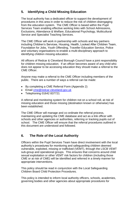# **5. Identifying a Child Missing Education**

The local authority has a dedicated officer to support the development of procedures in this area in order to reduce the risk of children disengaging from the education system. The CME Officer is based within the Pupil Services Team enabling effective working links with School Admissions, Exclusions, Attendance & Welfare, Educational Psychology, Multicultural Service and Specialist Teaching Services.

The CME Officer will work in partnership with schools and key partners including Children's Services, Housing, Health, Looked After Children Team, Foundation for Jobs, Youth Offending, Traveller Education Service, Police and voluntary organisations to enable a multi-disciplinary approach to identifying children missing education.

All officers of Redcar & Cleveland Borough Council have a joint responsibility for children missing education. If an officer becomes aware of any child who does not appear to be accessing education they should make a referral to the CME Officer.

Anyone may make a referral to the CME Officer including members of the public. There are a number of ways a referral can be made:

- By completing a CME Referral Form (Appendix 2)
- **Email [cme@redcar-cleveland.gov.uk](mailto:cme@redcar-cleveland.gov.uk)**
- Telephoning 01642 837721

A referral and monitoring system for children not on a school roll, at risk of missing education and those missing (destination known or otherwise) has been established.

The CME Officer will manage and co-ordinate the referral process, maintaining and updating the CME database and act as a link officer with schools and other agencies or authorities, referring or tracking pupils out of school. The CME Officer will ensure that the referral procedures outlined in this document are understood and followed.

#### **6. The Role of the Local Authority**

Officers within the Pupil Services Team have direct involvement with the local authority's procedures for monitoring and safeguarding children deemed vulnerable, exploited, missing or trafficked (VEMT), through the LSCB VEMT sub-group and operational groups. This ensures that concerns around child sexual exploitation or other VEMT risk factors for children (including those CME or at risk of CME) will be identified and referred in a timely manner for appropriate interventions.

This policy should be read in conjunction with the Local Safeguarding Children Board Child Protection Procedures.

This policy is intended to inform local authority officers, schools, academies, governing bodies and other agencies about appropriate procedures for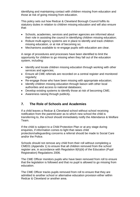identifying and maintaining contact with children missing from education and those at risk of going missing from education.

This policy sets out how Redcar & Cleveland Borough Council fulfils its statutory duties in relation to children missing education and will also ensure that:

- Schools, academies, services and partner agencies are informed about their role in assisting the council in identifying children missing education;
- Robust multi-agency systems are in place to identify and track children missing education, or at risk of becoming so;
- Mechanisms available to re-engage pupils with education are clear.

A range of procedures and processes have been identified to limit the opportunity for children to go missing when they fall out of the education system, including:

- Identify and locate children missing education through working with other services and agencies;
- Ensure all CME referrals are recorded on a central register and monitored regularly;
- Re-engage those who have been missing with appropriate education;
- Identify children missing education through liaison with other local authorities and access to national databases;
- Develop existing systems to identify those at risk of becoming CME;
- Awareness raising through publicity.

#### **7. The Role of Schools and Academies**

If a child leaves a Redcar & Cleveland school without school receiving notification from the parent/carer as to which new school the child is transferring to, the school should immediately notify the Attendance & Welfare Team.

If the child is subject to a Child Protection Plan or at any stage during enquiries, if information comes to light that raises child protection/safeguarding concerns a referral should be made to Social Care and/or the Police.

Schools should not remove any child from their roll without completing a CME01 (Appendix 1) to ensure that all children removed from the school register are, in accordance with Regulation 8(h)(iii) of the Education (Pupil Registration) Regulations 2006.

The CME Officer monitors pupils who have been removed from roll to ensure that the legislation is followed and that no pupil is allowed to go missing from education.

The CME Officer tracks pupils removed from roll to ensure that they are admitted to another school or alternative education provision either within Redcar & Cleveland or another area.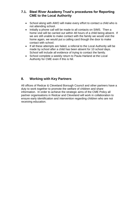#### **7.1. Steel River Academy Trust's procedures for Reporting CME to the Local Authority**

- School along with AWO will make every effort to contact a child who is not attending school.
- Initially a phone call will be made to all contacts on SIMS. Then a home visit will be carried out within 48 hours of a child being absent. If we are still unable to make contact with the family we would visit the home again, we would put a calling card though the door to make contact with school.
- If all these attempts are failed, a referral to the Local Authority will be made by school after a child has been absent for 10 school days. School will include all evidence of trying to contact the family.
- School complete a weekly return to Paula Harland at the Local Authority for CME even if this is Nil.

## **8. Working with Key Partners**

All offices of Redcar & Cleveland Borough Council and other partners have a duty to work together to promote the welfare of children and share information. In order to achieve the strategic aims of the CME Policy all partner organisations in Redcar and Cleveland will work in collaboration to ensure early identification and intervention regarding children who are not receiving education.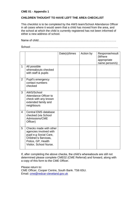#### **CME 01 - Appendix 1**

#### **CHILDREN THOUGHT TO HAVE LEFT THE AREA CHECKLIST**

This checklist is to be completed by the AWS team/School Attendance Officer in all cases where it would seem that a child has moved from the area, and the school at which the child is currently registered has not been informed of either a new address of school.

Name of child:……………………………………………………………………….

School:…………………………………………………………………………………

| $\mathbf{1}$   | All possible<br>whereabouts checked<br>with staff & pupils                                                                                         | Date(s)/times | Action by | Response/result<br>(Where<br>appropriate<br>name person/s) |
|----------------|----------------------------------------------------------------------------------------------------------------------------------------------------|---------------|-----------|------------------------------------------------------------|
| 2              | Pupil's emergency<br>contact numbers<br>checked                                                                                                    |               |           |                                                            |
| 3              | AWS/School<br>Attendance Officer to<br>check with any known<br>extended family and<br>neighbours                                                   |               |           |                                                            |
| $\overline{4}$ | Central EMS database<br>checked (via School<br>Admissions/CME<br>Officer)                                                                          |               |           |                                                            |
| 5              | Checks made with other<br>agencies involved with<br>pupil e.g Social Care,<br>Children's Services,<br>Police, GP, Health<br>Visitor, School Nurse. |               |           |                                                            |

If, after completing the above checks, the child's whereabouts are still not determined please complete CME02 (CME Referral) and forward, along with a copy of this form to the CME Officer.

Please return to: CME Officer, Cooper Centre, South Bank. TS6 6SU. Email: [cme@redcar-cleveland.gov.uk](mailto:cme@redcar-cleveland.gov.uk)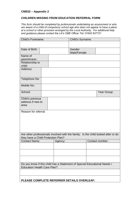#### **CHILDREN MISSING FROM EDUCATION REFERRAL FORM**

*This form should be completed by professionals undertaking an assessment or who are aware of a child of compulsory school age who does not appear to have a place at a school or other provision arranged by the Local Authority. For additional help and guidance please contact the LA's CME Officer Tel: 01642 837721*

| <b>Child's Forename:</b>                                                          |         | Child's Surname: |                 |  |
|-----------------------------------------------------------------------------------|---------|------------------|-----------------|--|
|                                                                                   |         |                  |                 |  |
|                                                                                   |         |                  |                 |  |
| Date of Birth:                                                                    |         | Gender           |                 |  |
| Name of                                                                           |         | Male/Female      |                 |  |
| parent/carer:                                                                     |         |                  |                 |  |
| Relationship to                                                                   |         |                  |                 |  |
| child:                                                                            |         |                  |                 |  |
| Address:                                                                          |         |                  |                 |  |
|                                                                                   |         |                  |                 |  |
|                                                                                   |         |                  |                 |  |
| Telephone No:                                                                     |         |                  |                 |  |
|                                                                                   |         |                  |                 |  |
| Mobile No:                                                                        |         |                  |                 |  |
|                                                                                   |         |                  |                 |  |
| School:                                                                           |         |                  | Year Group:     |  |
|                                                                                   |         |                  |                 |  |
| Child's previous<br>address if new to                                             |         |                  |                 |  |
| area:                                                                             |         |                  |                 |  |
|                                                                                   |         |                  |                 |  |
| Reason for referral:                                                              |         |                  |                 |  |
|                                                                                   |         |                  |                 |  |
|                                                                                   |         |                  |                 |  |
|                                                                                   |         |                  |                 |  |
|                                                                                   |         |                  |                 |  |
|                                                                                   |         |                  |                 |  |
|                                                                                   |         |                  |                 |  |
| Are other professionals involved with the family. Is the child looked after or do |         |                  |                 |  |
| they have a Child Protection Plan?                                                |         |                  |                 |  |
| <b>Contact Name:</b>                                                              | Agency: |                  | Contact number: |  |
|                                                                                   |         |                  |                 |  |
|                                                                                   |         |                  |                 |  |
|                                                                                   |         |                  |                 |  |
|                                                                                   |         |                  |                 |  |
|                                                                                   |         |                  |                 |  |
| Do you know if this child has a Statement of Special Educational Needs /          |         |                  |                 |  |
| <b>Education Health Care Plan?</b>                                                |         |                  |                 |  |
|                                                                                   |         |                  |                 |  |
|                                                                                   |         |                  |                 |  |
|                                                                                   |         |                  |                 |  |
| PLEASE COMPLETE REFERRER DETAILS OVERLEAF:                                        |         |                  |                 |  |